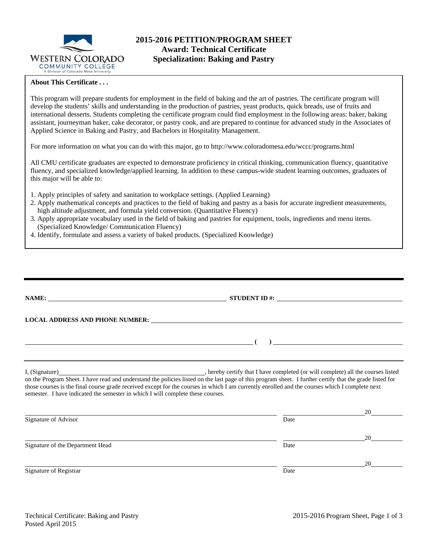

# **2015-2016 PETITION/PROGRAM SHEET Award: Technical Certificate Specialization: Baking and Pastry**

### **About This Certificate . . .**

This program will prepare students for employment in the field of baking and the art of pastries. The certificate program will develop the students' skills and understanding in the production of pastries, yeast products, quick breads, use of fruits and international desserts. Students completing the certificate program could find employment in the following areas: baker, baking assistant, journeyman baker, cake decorator, or pastry cook, and are prepared to continue for advanced study in the Associates of Applied Science in Baking and Pastry, and Bachelors in Hospitality Management.

For more information on what you can do with this major, go to http://www.coloradomesa.edu/wccc/programs.html

All CMU certificate graduates are expected to demonstrate proficiency in critical thinking, communication fluency, quantitative fluency, and specialized knowledge/applied learning. In addition to these campus-wide student learning outcomes, graduates of this major will be able to:

- 1. Apply principles of safety and sanitation to workplace settings. (Applied Learning)
- 2. Apply mathematical concepts and practices to the field of baking and pastry as a basis for accurate ingredient measurements, high altitude adjustment, and formula yield conversion. (Quantitative Fluency)
- 3. Apply appropriate vocabulary used in the field of baking and pastries for equipment, tools, ingredients and menu items. (Specialized Knowledge/ Communication Fluency)
- 4. Identify, formulate and assess a variety of baked products. (Specialized Knowledge)

|                                                                                 | STUDENT ID $\#$ :                                                                                                                                                                                                             |    |
|---------------------------------------------------------------------------------|-------------------------------------------------------------------------------------------------------------------------------------------------------------------------------------------------------------------------------|----|
|                                                                                 | LOCAL ADDRESS AND PHONE NUMBER: University of the contract of the contract of the contract of the contract of the contract of the contract of the contract of the contract of the contract of the contract of the contract of |    |
|                                                                                 | $\overline{a}$                                                                                                                                                                                                                |    |
|                                                                                 | on the Program Sheet. I have read and understand the policies listed on the last page of this program sheet. I further certify that the grade listed for                                                                      |    |
| semester. I have indicated the semester in which I will complete these courses. | those courses is the final course grade received except for the courses in which I am currently enrolled and the courses which I complete next                                                                                |    |
| Signature of Advisor                                                            | Date                                                                                                                                                                                                                          | 20 |
| Signature of the Department Head                                                | Date                                                                                                                                                                                                                          | 20 |
|                                                                                 |                                                                                                                                                                                                                               |    |
| Signature of Registrar                                                          | Date                                                                                                                                                                                                                          | 20 |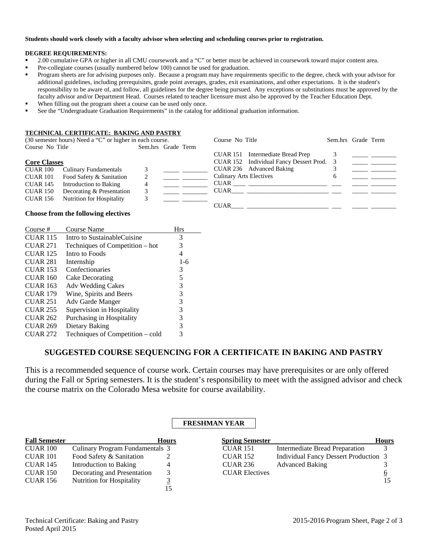#### **Students should work closely with a faculty advisor when selecting and scheduling courses prior to registration.**

#### **DEGREE REQUIREMENTS:**

- <sup>2</sup> 2.00 cumulative GPA or higher in all CMU coursework and a "C" or better must be achieved in coursework toward major content area.
- **Pre-collegiate courses (usually numbered below 100) cannot be used for graduation.**
- **Program sheets are for advising purposes only. Because a program may have requirements specific to the degree, check with your advisor for** additional guidelines, including prerequisites, grade point averages, grades, exit examinations, and other expectations. It is the student's responsibility to be aware of, and follow, all guidelines for the degree being pursued. Any exceptions or substitutions must be approved by the faculty advisor and/or Department Head. Courses related to teacher licensure must also be approved by the Teacher Education Dept.
- When filling out the program sheet a course can be used only once.
- See the "Undergraduate Graduation Requirements" in the catalog for additional graduation information.

#### **TECHNICAL CERTIFICATE: BAKING AND PASTRY**

|                     | (30 semester hours) Need a "C" or higher in each course. |                    | Course No Title                |                                           | Sem.hrs Grade Term |  |
|---------------------|----------------------------------------------------------|--------------------|--------------------------------|-------------------------------------------|--------------------|--|
| Course No Title     |                                                          | Sem.hrs Grade Term |                                |                                           |                    |  |
|                     |                                                          |                    |                                | CUAR 151 Intermediate Bread Prep          |                    |  |
| <b>Core Classes</b> |                                                          |                    |                                | CUAR 152 Individual Fancy Dessert Prod. 3 |                    |  |
| CUAR 100            | <b>Culinary Fundamentals</b>                             |                    |                                | CUAR 236 Advanced Baking                  |                    |  |
| <b>CUAR 101</b>     | Food Safety & Sanitation                                 |                    | <b>Culinary Arts Electives</b> |                                           | O                  |  |
| <b>CUAR 145</b>     | Introduction to Baking                                   |                    | CUAR                           |                                           |                    |  |
| <b>CUAR 150</b>     | Decorating & Presentation                                |                    | <b>CUAR</b>                    |                                           |                    |  |
| <b>CUAR 156</b>     | Nutrition for Hospitality                                |                    |                                |                                           |                    |  |
|                     |                                                          |                    | <b>CUAR</b>                    |                                           |                    |  |

#### **Choose from the following electives**

| Course #        | <b>Course Name</b>               | Hrs   |
|-----------------|----------------------------------|-------|
| <b>CUAR 115</b> | Intro to SustainableCuisine      | 3     |
| <b>CUAR 271</b> | Techniques of Competition – hot  | 3     |
| <b>CUAR 125</b> | Intro to Foods                   | 4     |
| <b>CUAR 281</b> | Internship                       | $1-6$ |
| <b>CUAR 153</b> | Confectionaries                  | 3     |
| <b>CUAR 160</b> | Cake Decorating                  | 5     |
| <b>CUAR 163</b> | <b>Adv Wedding Cakes</b>         | 3     |
| <b>CUAR 179</b> | Wine, Spirits and Beers          | 3     |
| <b>CUAR 251</b> | Adv Garde Manger                 | 3     |
| <b>CUAR 255</b> | Supervision in Hospitality       | 3     |
| <b>CUAR 262</b> | Purchasing in Hospitality        | 3     |
| <b>CUAR 269</b> | Dietary Baking                   | 3     |
| <b>CUAR 272</b> | Techniques of Competition - cold | 3     |

# **SUGGESTED COURSE SEQUENCING FOR A CERTIFICATE IN BAKING AND PASTRY**

This is a recommended sequence of course work. Certain courses may have prerequisites or are only offered during the Fall or Spring semesters. It is the student's responsibility to meet with the assigned advisor and check the course matrix on the Colorado Mesa website for course availability.

### **FRESHMAN YEAR**

| <b>Fall Semester</b> |                                  | <b>Hours</b> | <b>Spring Semester</b> |                                              | <b>Hours</b> |
|----------------------|----------------------------------|--------------|------------------------|----------------------------------------------|--------------|
| CUAR 100             | Culinary Program Fundamentals 3  |              | <b>CUAR 151</b>        | Intermediate Bread Preparation               |              |
| <b>CUAR 101</b>      | Food Safety & Sanitation         |              | <b>CUAR 152</b>        | <b>Individual Fancy Dessert Production 3</b> |              |
| <b>CUAR 145</b>      | Introduction to Baking           |              | <b>CUAR 236</b>        | <b>Advanced Baking</b>                       |              |
| <b>CUAR 150</b>      | Decorating and Presentation      |              | <b>CUAR Electives</b>  |                                              |              |
| <b>CUAR 156</b>      | <b>Nutrition for Hospitality</b> |              |                        |                                              |              |
|                      |                                  |              |                        |                                              |              |